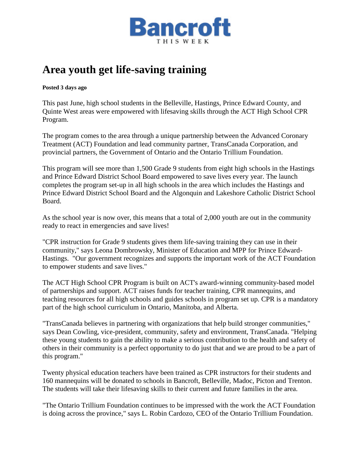

## **Area youth get life-saving training**

**Posted 3 days ago**

This past June, high school students in the Belleville, Hastings, Prince Edward County, and Quinte West areas were empowered with lifesaving skills through the ACT High School CPR Program.

The program comes to the area through a unique partnership between the Advanced Coronary Treatment (ACT) Foundation and lead community partner, TransCanada Corporation, and provincial partners, the Government of Ontario and the Ontario Trillium Foundation.

This program will see more than 1,500 Grade 9 students from eight high schools in the Hastings and Prince Edward District School Board empowered to save lives every year. The launch completes the program set-up in all high schools in the area which includes the Hastings and Prince Edward District School Board and the Algonquin and Lakeshore Catholic District School Board.

As the school year is now over, this means that a total of 2,000 youth are out in the community ready to react in emergencies and save lives!

"CPR instruction for Grade 9 students gives them life-saving training they can use in their community," says Leona Dombrowsky, Minister of Education and MPP for Prince Edward-Hastings. "Our government recognizes and supports the important work of the ACT Foundation to empower students and save lives."

The ACT High School CPR Program is built on ACT's award-winning community-based model of partnerships and support. ACT raises funds for teacher training, CPR mannequins, and teaching resources for all high schools and guides schools in program set up. CPR is a mandatory part of the high school curriculum in Ontario, Manitoba, and Alberta.

"TransCanada believes in partnering with organizations that help build stronger communities," says Dean Cowling, vice-president, community, safety and environment, TransCanada. "Helping these young students to gain the ability to make a serious contribution to the health and safety of others in their community is a perfect opportunity to do just that and we are proud to be a part of this program."

Twenty physical education teachers have been trained as CPR instructors for their students and 160 mannequins will be donated to schools in Bancroft, Belleville, Madoc, Picton and Trenton. The students will take their lifesaving skills to their current and future families in the area.

"The Ontario Trillium Foundation continues to be impressed with the work the ACT Foundation is doing across the province," says L. Robin Cardozo, CEO of the Ontario Trillium Foundation.